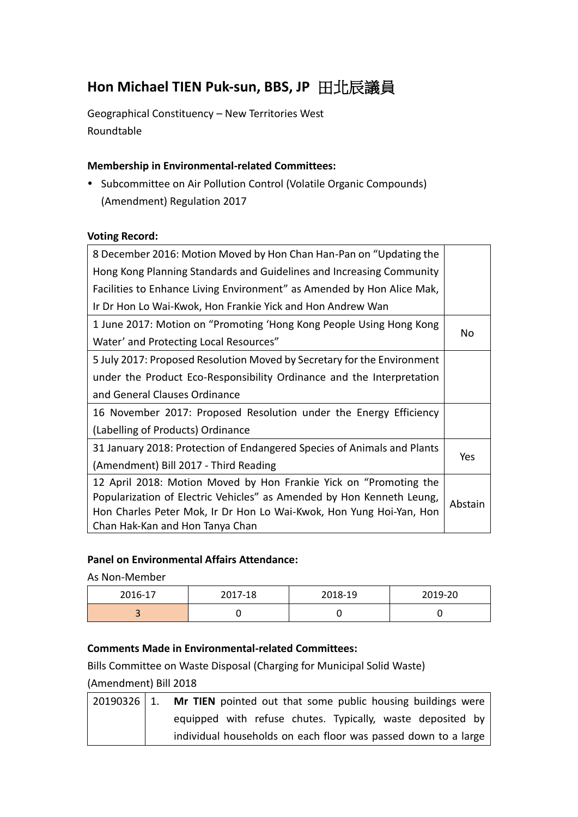# **Hon Michael TIEN Puk-sun, BBS, JP** 田北辰議員

Geographical Constituency – New Territories West Roundtable

## **Membership in Environmental-related Committees:**

• Subcommittee on Air Pollution Control (Volatile Organic Compounds) (Amendment) Regulation 2017

#### **Voting Record:**

| 8 December 2016: Motion Moved by Hon Chan Han-Pan on "Updating the      |         |  |
|-------------------------------------------------------------------------|---------|--|
| Hong Kong Planning Standards and Guidelines and Increasing Community    |         |  |
| Facilities to Enhance Living Environment" as Amended by Hon Alice Mak,  |         |  |
| Ir Dr Hon Lo Wai-Kwok, Hon Frankie Yick and Hon Andrew Wan              |         |  |
| 1 June 2017: Motion on "Promoting 'Hong Kong People Using Hong Kong     | No      |  |
| Water' and Protecting Local Resources"                                  |         |  |
| 5 July 2017: Proposed Resolution Moved by Secretary for the Environment |         |  |
| under the Product Eco-Responsibility Ordinance and the Interpretation   |         |  |
| and General Clauses Ordinance                                           |         |  |
| 16 November 2017: Proposed Resolution under the Energy Efficiency       |         |  |
| (Labelling of Products) Ordinance                                       |         |  |
| 31 January 2018: Protection of Endangered Species of Animals and Plants |         |  |
| (Amendment) Bill 2017 - Third Reading                                   | Yes     |  |
| 12 April 2018: Motion Moved by Hon Frankie Yick on "Promoting the       |         |  |
| Popularization of Electric Vehicles" as Amended by Hon Kenneth Leung,   | Abstain |  |
| Hon Charles Peter Mok, Ir Dr Hon Lo Wai-Kwok, Hon Yung Hoi-Yan, Hon     |         |  |
| Chan Hak-Kan and Hon Tanya Chan                                         |         |  |

## **Panel on Environmental Affairs Attendance:**

As Non-Member

| 2016-17 | 2017-18 | 2018-19 | 2019-20 |
|---------|---------|---------|---------|
| $\sim$  |         |         |         |

## **Comments Made in Environmental-related Committees:**

Bills Committee on Waste Disposal (Charging for Municipal Solid Waste)

#### (Amendment) Bill 2018

| $20190326$   1. | Mr TIEN pointed out that some public housing buildings were    |
|-----------------|----------------------------------------------------------------|
|                 | equipped with refuse chutes. Typically, waste deposited by     |
|                 | individual households on each floor was passed down to a large |